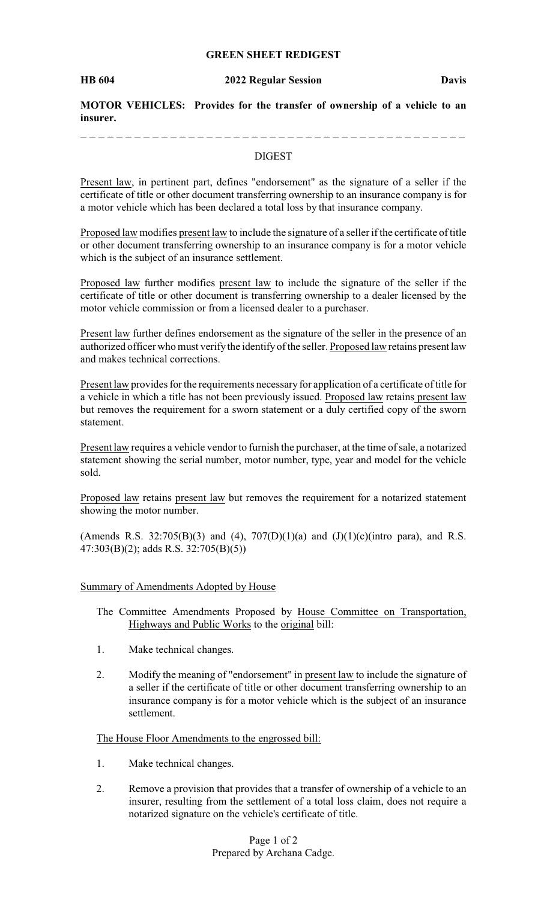# **GREEN SHEET REDIGEST**

\_ \_ \_ \_ \_ \_ \_ \_ \_ \_ \_ \_ \_ \_ \_ \_

\_ \_ \_ \_ \_ \_ \_ \_ \_ \_ \_ \_ \_ \_ \_ \_ \_

**MOTOR VEHICLES: Provides for the transfer of ownership of a vehicle to an insurer.**

# DIGEST

Present law, in pertinent part, defines "endorsement" as the signature of a seller if the certificate of title or other document transferring ownership to an insurance company is for a motor vehicle which has been declared a total loss by that insurance company.

Proposed law modifies present law to include the signature of a seller if the certificate of title or other document transferring ownership to an insurance company is for a motor vehicle which is the subject of an insurance settlement.

Proposed law further modifies present law to include the signature of the seller if the certificate of title or other document is transferring ownership to a dealer licensed by the motor vehicle commission or from a licensed dealer to a purchaser.

Present law further defines endorsement as the signature of the seller in the presence of an authorized officer who must verifythe identify of the seller. Proposed law retains present law and makes technical corrections.

Present law provides for the requirements necessary for application of a certificate of title for a vehicle in which a title has not been previously issued. Proposed law retains present law but removes the requirement for a sworn statement or a duly certified copy of the sworn statement.

Present law requires a vehicle vendor to furnish the purchaser, at the time of sale, a notarized statement showing the serial number, motor number, type, year and model for the vehicle sold.

Proposed law retains present law but removes the requirement for a notarized statement showing the motor number.

(Amends R.S. 32:705(B)(3) and (4), 707(D)(1)(a) and  $(J)(1)(c)$ (intro para), and R.S. 47:303(B)(2); adds R.S. 32:705(B)(5))

### Summary of Amendments Adopted by House

The Committee Amendments Proposed by House Committee on Transportation, Highways and Public Works to the original bill:

- 1. Make technical changes.
- 2. Modify the meaning of "endorsement" in present law to include the signature of a seller if the certificate of title or other document transferring ownership to an insurance company is for a motor vehicle which is the subject of an insurance settlement.

# The House Floor Amendments to the engrossed bill:

- 1. Make technical changes.
- 2. Remove a provision that provides that a transfer of ownership of a vehicle to an insurer, resulting from the settlement of a total loss claim, does not require a notarized signature on the vehicle's certificate of title.

Page 1 of 2 Prepared by Archana Cadge.